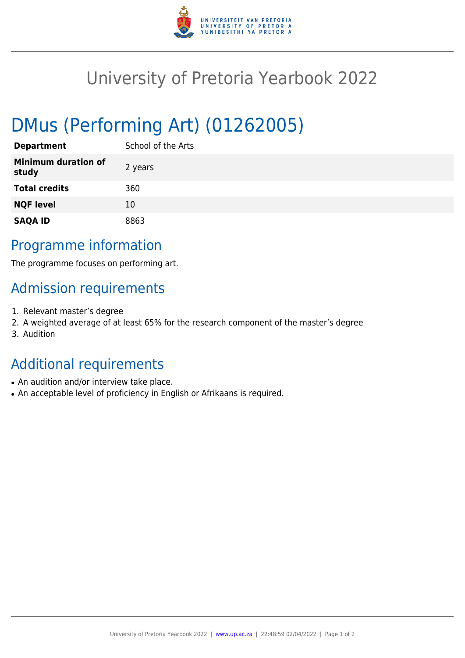

## University of Pretoria Yearbook 2022

# DMus (Performing Art) (01262005)

| <b>Department</b>                   | School of the Arts |
|-------------------------------------|--------------------|
| <b>Minimum duration of</b><br>study | 2 years            |
| <b>Total credits</b>                | 360                |
| <b>NQF level</b>                    | 10                 |
| <b>SAQA ID</b>                      | 8863               |

#### Programme information

The programme focuses on performing art.

#### Admission requirements

- 1. Relevant master's degree
- 2. A weighted average of at least 65% for the research component of the master's degree
- 3. Audition

### Additional requirements

- An audition and/or interview take place.
- An acceptable level of proficiency in English or Afrikaans is required.